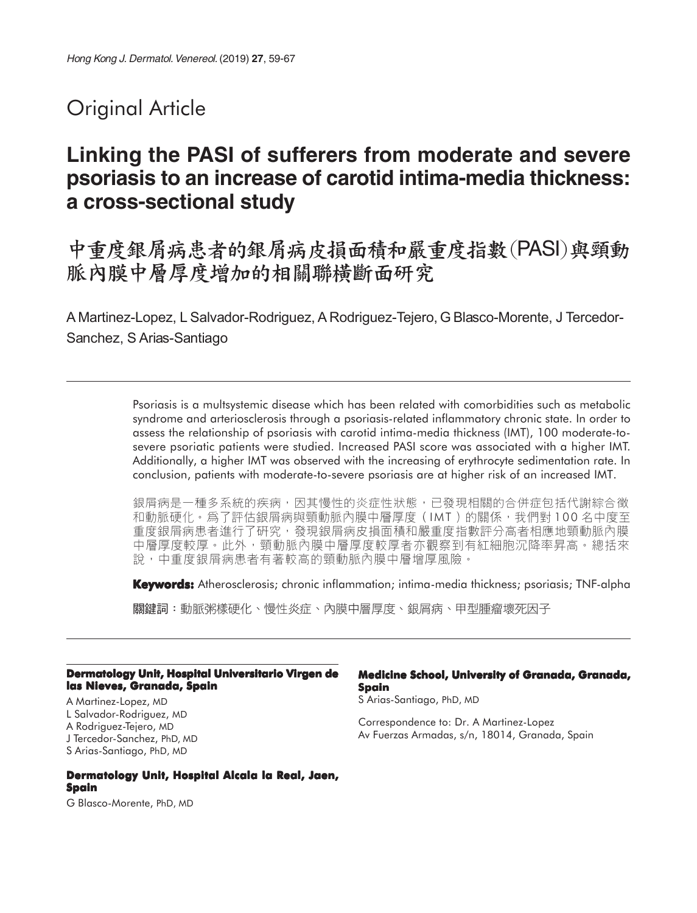# Original Article

# **Linking the PASI of sufferers from moderate and severe psoriasis to an increase of carotid intima-media thickness: a cross-sectional study**

中重度銀屑病患者的銀屑病皮損面積和嚴重度指數(PASI)與頸動 脈內膜中層厚度增加的相關聯橫斷面研究

A Martinez-Lopez, L Salvador-Rodriguez, A Rodriguez-Tejero, G Blasco-Morente, J Tercedor-Sanchez, S Arias-Santiago

> Psoriasis is a multsystemic disease which has been related with comorbidities such as metabolic syndrome and arteriosclerosis through a psoriasis-related inflammatory chronic state. In order to assess the relationship of psoriasis with carotid intima-media thickness (IMT), 100 moderate-tosevere psoriatic patients were studied. Increased PASI score was associated with a higher IMT. Additionally, a higher IMT was observed with the increasing of erythrocyte sedimentation rate. In conclusion, patients with moderate-to-severe psoriasis are at higher risk of an increased IMT.

> 銀屑病是一種多系統的疾病,因其慢性的炎症性狀態,已發現相關的合併症包括代謝綜合徵 和動脈硬化。爲了評估銀屑病與頸動脈內膜中層厚度(IMT)的關係,我們對 100 名中度至 重度銀屑病患者進行了研究,發現銀屑病皮損面積和嚴重度指數評分高者相應地頸動脈內膜 中層厚度較厚。此外,頸動脈內膜中層厚度較厚者亦觀察到有紅細胞沉降率昇高。總括來 說,中重度銀屑病患者有著較高的頸動脈內膜中層增厚風險。

> **Keywords:** Atherosclerosis; chronic inflammation; intima-media thickness; psoriasis; TNF-alpha

關鍵詞:動脈粥樣硬化、慢性炎症、內膜中層厚度、銀屑病、甲型腫瘤壞死因子

#### **Dermatology Unit, Hospital Universitario Virgen de las Nieves, Granada, Spain**

A Martinez-Lopez, MD L Salvador-Rodriguez, MD A Rodriguez-Tejero, MD J Tercedor-Sanchez, PhD, MD S Arias-Santiago, PhD, MD

#### **Dermatology Unit, Hospital Alcala la Real, Jaen, Spain**

G Blasco-Morente, PhD, MD

#### **Medicine School, University of Granada, Granada, Spain**

S Arias-Santiago, PhD, MD

Correspondence to: Dr. A Martinez-Lopez Av Fuerzas Armadas, s/n, 18014, Granada, Spain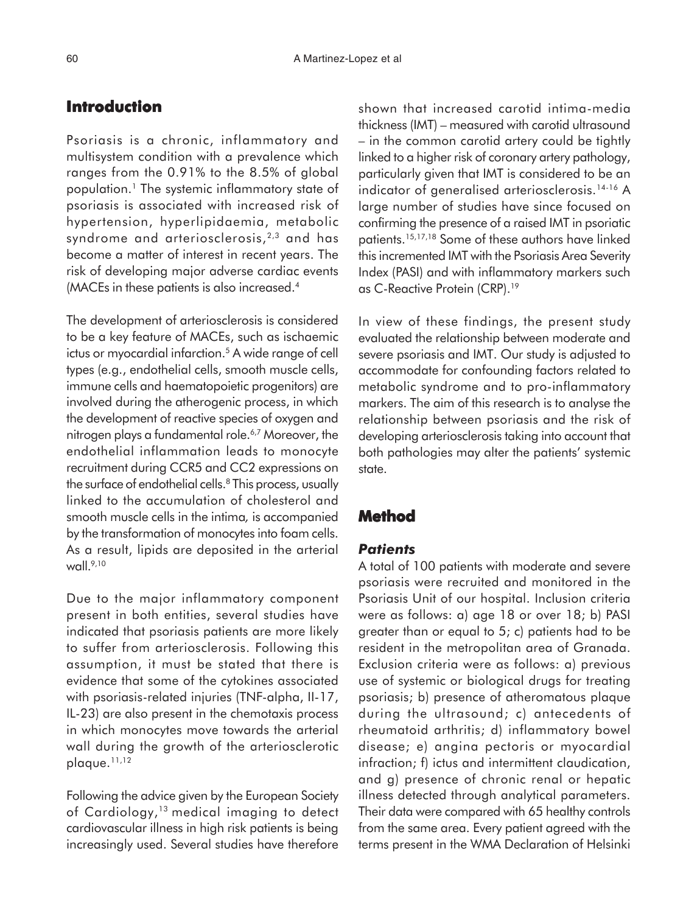# **Introduction**

Psoriasis is a chronic, inflammatory and multisystem condition with a prevalence which ranges from the 0.91% to the 8.5% of global population.1 The systemic inflammatory state of psoriasis is associated with increased risk of hypertension, hyperlipidaemia, metabolic syndrome and arteriosclerosis,  $2,3$  and has become a matter of interest in recent years. The risk of developing major adverse cardiac events (MACEs in these patients is also increased.<sup>4</sup>

The development of arteriosclerosis is considered to be a key feature of MACEs, such as ischaemic ictus or myocardial infarction.<sup>5</sup> A wide range of cell types (e.g., endothelial cells, smooth muscle cells, immune cells and haematopoietic progenitors) are involved during the atherogenic process, in which the development of reactive species of oxygen and nitrogen plays a fundamental role.<sup>6,7</sup> Moreover, the endothelial inflammation leads to monocyte recruitment during CCR5 and CC2 expressions on the surface of endothelial cells.<sup>8</sup> This process, usually linked to the accumulation of cholesterol and smooth muscle cells in the intima*,* is accompanied by the transformation of monocytes into foam cells. As a result, lipids are deposited in the arterial wall. $9,10$ 

Due to the major inflammatory component present in both entities, several studies have indicated that psoriasis patients are more likely to suffer from arteriosclerosis. Following this assumption, it must be stated that there is evidence that some of the cytokines associated with psoriasis-related injuries (TNF-alpha, II-17, IL-23) are also present in the chemotaxis process in which monocytes move towards the arterial wall during the growth of the arteriosclerotic plaque.11,12

Following the advice given by the European Society of Cardiology,<sup>13</sup> medical imaging to detect cardiovascular illness in high risk patients is being increasingly used. Several studies have therefore shown that increased carotid intima-media thickness (IMT) – measured with carotid ultrasound – in the common carotid artery could be tightly linked to a higher risk of coronary artery pathology, particularly given that IMT is considered to be an indicator of generalised arteriosclerosis.14-16 A large number of studies have since focused on confirming the presence of a raised IMT in psoriatic patients.15,17,18 Some of these authors have linked this incremented IMT with the Psoriasis Area Severity Index (PASI) and with inflammatory markers such as C-Reactive Protein (CRP).19

In view of these findings, the present study evaluated the relationship between moderate and severe psoriasis and IMT. Our study is adjusted to accommodate for confounding factors related to metabolic syndrome and to pro-inflammatory markers. The aim of this research is to analyse the relationship between psoriasis and the risk of developing arteriosclerosis taking into account that both pathologies may alter the patients' systemic state.

## **Method**

#### *Patients*

A total of 100 patients with moderate and severe psoriasis were recruited and monitored in the Psoriasis Unit of our hospital. Inclusion criteria were as follows: a) age 18 or over 18; b) PASI greater than or equal to 5; c) patients had to be resident in the metropolitan area of Granada. Exclusion criteria were as follows: a) previous use of systemic or biological drugs for treating psoriasis; b) presence of atheromatous plaque during the ultrasound; c) antecedents of rheumatoid arthritis; d) inflammatory bowel disease; e) angina pectoris or myocardial infraction; f) ictus and intermittent claudication, and g) presence of chronic renal or hepatic illness detected through analytical parameters. Their data were compared with 65 healthy controls from the same area. Every patient agreed with the terms present in the WMA Declaration of Helsinki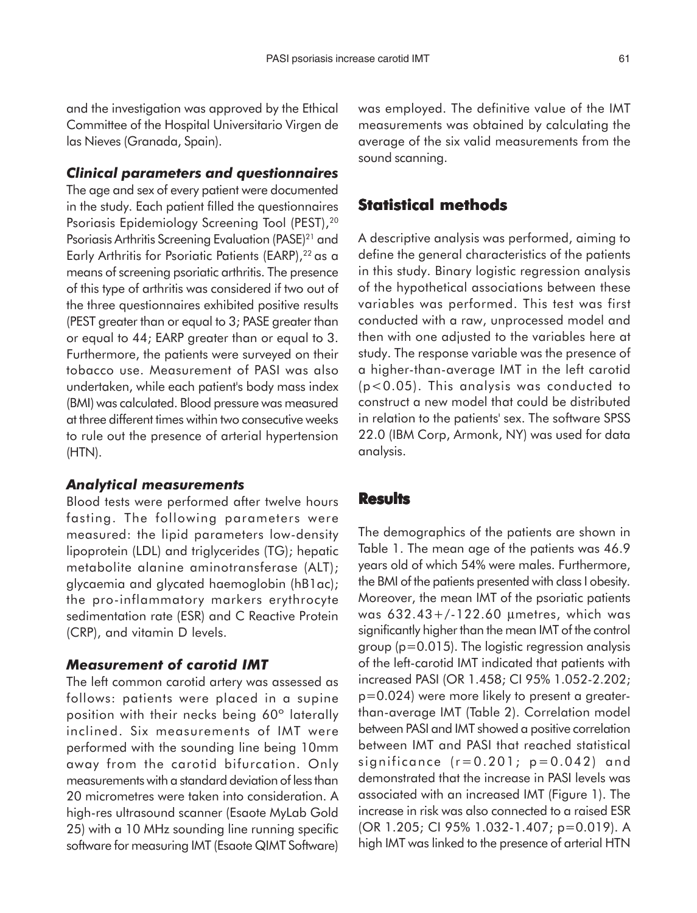and the investigation was approved by the Ethical Committee of the Hospital Universitario Virgen de las Nieves (Granada, Spain).

## *Clinical parameters and questionnaires*

The age and sex of every patient were documented in the study. Each patient filled the questionnaires Psoriasis Epidemiology Screening Tool (PEST),20 Psoriasis Arthritis Screening Evaluation (PASE)<sup>21</sup> and Early Arthritis for Psoriatic Patients (EARP), <sup>22</sup> as a means of screening psoriatic arthritis. The presence of this type of arthritis was considered if two out of the three questionnaires exhibited positive results (PEST greater than or equal to 3; PASE greater than or equal to 44; EARP greater than or equal to 3. Furthermore, the patients were surveyed on their tobacco use. Measurement of PASI was also undertaken, while each patient's body mass index (BMI) was calculated. Blood pressure was measured at three different times within two consecutive weeks to rule out the presence of arterial hypertension (HTN).

#### *Analytical measurements*

Blood tests were performed after twelve hours fasting. The following parameters were measured: the lipid parameters low-density lipoprotein (LDL) and triglycerides (TG); hepatic metabolite alanine aminotransferase (ALT); glycaemia and glycated haemoglobin (hB1ac); the pro-inflammatory markers erythrocyte sedimentation rate (ESR) and C Reactive Protein (CRP), and vitamin D levels.

## *Measurement of carotid IMT*

The left common carotid artery was assessed as follows: patients were placed in a supine position with their necks being 60º laterally inclined. Six measurements of IMT were performed with the sounding line being 10mm away from the carotid bifurcation. Only measurements with a standard deviation of less than 20 micrometres were taken into consideration. A high-res ultrasound scanner (Esaote MyLab Gold 25) with a 10 MHz sounding line running specific software for measuring IMT (Esaote QIMT Software) was employed. The definitive value of the IMT measurements was obtained by calculating the average of the six valid measurements from the sound scanning.

### **Statistical methods**

A descriptive analysis was performed, aiming to define the general characteristics of the patients in this study. Binary logistic regression analysis of the hypothetical associations between these variables was performed. This test was first conducted with a raw, unprocessed model and then with one adjusted to the variables here at study. The response variable was the presence of a higher-than-average IMT in the left carotid (p<0.05). This analysis was conducted to construct a new model that could be distributed in relation to the patients' sex. The software SPSS 22.0 (IBM Corp, Armonk, NY) was used for data analysis.

#### **Results**

The demographics of the patients are shown in Table 1. The mean age of the patients was 46.9 years old of which 54% were males. Furthermore, the BMI of the patients presented with class I obesity. Moreover, the mean IMT of the psoriatic patients was 632.43+/-122.60 µmetres, which was significantly higher than the mean IMT of the control group (p=0.015). The logistic regression analysis of the left-carotid IMT indicated that patients with increased PASI (OR 1.458; CI 95% 1.052-2.202; p=0.024) were more likely to present a greaterthan-average IMT (Table 2). Correlation model between PASI and IMT showed a positive correlation between IMT and PASI that reached statistical significance  $(r=0.201; p=0.042)$  and demonstrated that the increase in PASI levels was associated with an increased IMT (Figure 1). The increase in risk was also connected to a raised ESR (OR 1.205; CI 95% 1.032-1.407; p=0.019). A high IMT was linked to the presence of arterial HTN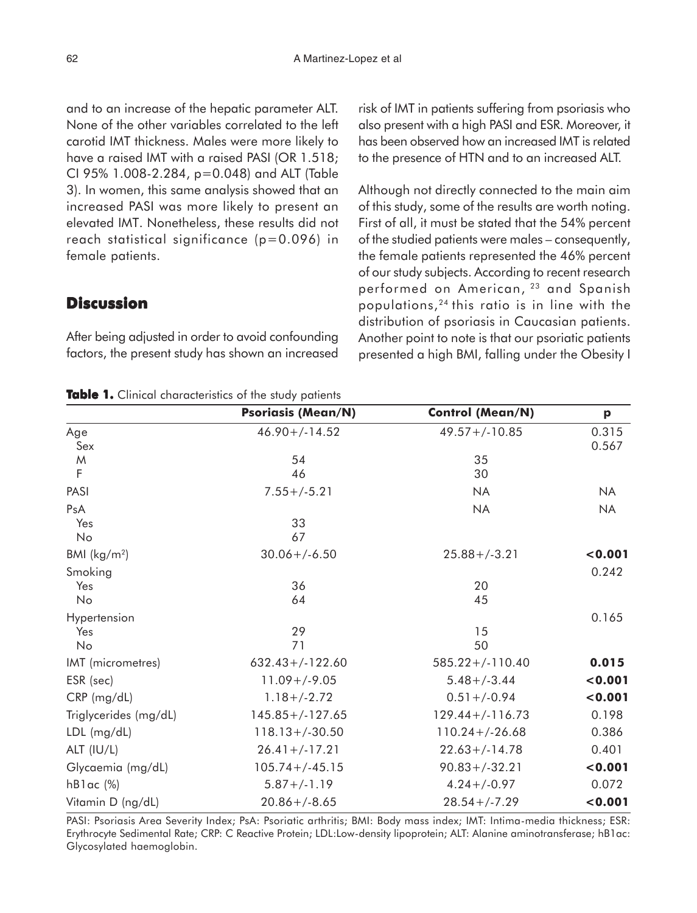and to an increase of the hepatic parameter ALT. None of the other variables correlated to the left carotid IMT thickness. Males were more likely to have a raised IMT with a raised PASI (OR 1.518; CI 95% 1.008-2.284, p=0.048) and ALT (Table 3). In women, this same analysis showed that an increased PASI was more likely to present an elevated IMT. Nonetheless, these results did not reach statistical significance (p=0.096) in female patients.

## **Discussion**

After being adjusted in order to avoid confounding factors, the present study has shown an increased risk of IMT in patients suffering from psoriasis who also present with a high PASI and ESR. Moreover, it has been observed how an increased IMT is related to the presence of HTN and to an increased ALT.

Although not directly connected to the main aim of this study, some of the results are worth noting. First of all, it must be stated that the 54% percent of the studied patients were males – consequently, the female patients represented the 46% percent of our study subjects. According to recent research performed on American, <sup>23</sup> and Spanish populations,24 this ratio is in line with the distribution of psoriasis in Caucasian patients. Another point to note is that our psoriatic patients presented a high BMI, falling under the Obesity I

| <b>Table 1.</b> Clinical characteristics of the study patients |  |
|----------------------------------------------------------------|--|
|----------------------------------------------------------------|--|

|                       | <b>Psoriasis (Mean/N)</b> | <b>Control (Mean/N)</b> | p              |
|-----------------------|---------------------------|-------------------------|----------------|
| Age<br>Sex            | $46.90 + (-14.52)$        | $49.57 + (-10.85)$      | 0.315<br>0.567 |
| M                     | 54                        | 35                      |                |
| F                     | 46                        | 30                      |                |
| PASI                  | $7.55+/-5.21$             | <b>NA</b>               | <b>NA</b>      |
| PsA                   |                           | <b>NA</b>               | <b>NA</b>      |
| Yes                   | 33                        |                         |                |
| No                    | 67                        |                         |                |
| BMI $(kg/m2)$         | $30.06 + (-6.50)$         | $25.88 + (-3.21)$       | 0.001          |
| Smoking               |                           |                         | 0.242          |
| Yes                   | 36                        | 20                      |                |
| No                    | 64                        | 45                      |                |
| Hypertension          |                           |                         | 0.165          |
| Yes                   | 29                        | 15                      |                |
| No                    | 71                        | 50                      |                |
| IMT (micrometres)     | $632.43+/-122.60$         | $585.22+/-110.40$       | 0.015          |
| ESR (sec)             | $11.09 + (-9.05$          | $5.48 + (-3.44)$        | 0.001          |
| CRP (mg/dL)           | $1.18 + (-2.72)$          | $0.51 + (-0.94)$        | 0.001          |
| Triglycerides (mg/dL) | $145.85+/-127.65$         | $129.44+/-116.73$       | 0.198          |
| LDL (mg/dL)           | $118.13 + (-30.50)$       | $110.24 + (-26.68)$     | 0.386          |
| ALT (IU/L)            | $26.41 + (-17.21)$        | $22.63 + (-14.78)$      | 0.401          |
| Glycaemia (mg/dL)     | $105.74 + (-45.15$        | $90.83 + (-32.21)$      | 0.001          |
| $hBlac$ (%)           | $5.87 + (-1.19)$          | $4.24+/-0.97$           | 0.072          |
| Vitamin D (ng/dL)     | $20.86 + (-8.65)$         | $28.54 + (-7.29)$       | 0.001          |

PASI: Psoriasis Area Severity Index; PsA: Psoriatic arthritis; BMI: Body mass index; IMT: Intima-media thickness; ESR: Erythrocyte Sedimental Rate; CRP: C Reactive Protein; LDL:Low-density lipoprotein; ALT: Alanine aminotransferase; hB1ac: Glycosylated haemoglobin.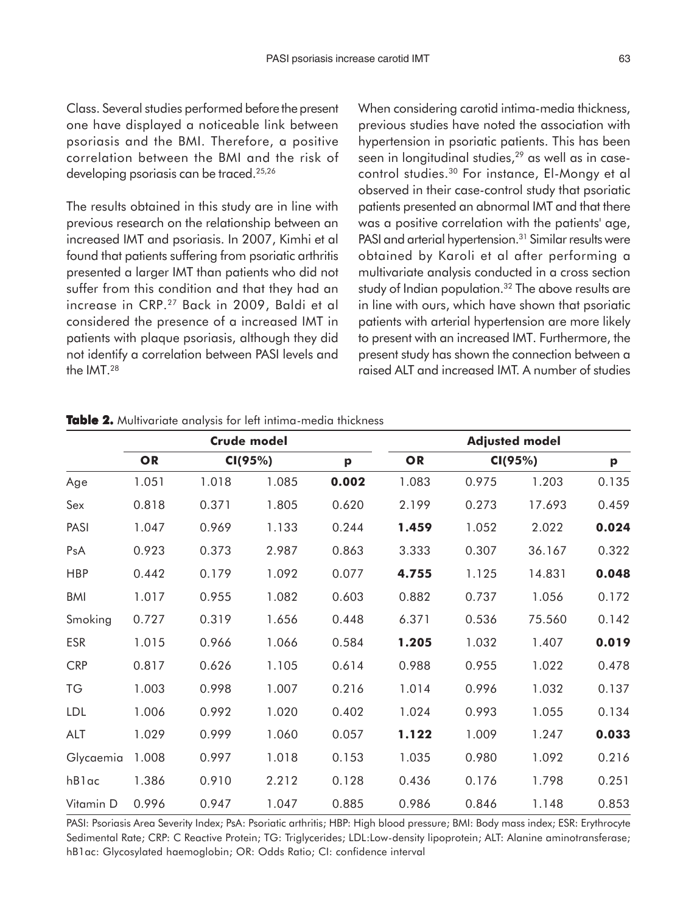Class. Several studies performed before the present one have displayed a noticeable link between psoriasis and the BMI. Therefore, a positive correlation between the BMI and the risk of developing psoriasis can be traced.25,26

The results obtained in this study are in line with previous research on the relationship between an increased IMT and psoriasis. In 2007, Kimhi et al found that patients suffering from psoriatic arthritis presented a larger IMT than patients who did not suffer from this condition and that they had an increase in CRP.27 Back in 2009, Baldi et al considered the presence of a increased IMT in patients with plaque psoriasis, although they did not identify a correlation between PASI levels and the IMT.28

When considering carotid intima-media thickness, previous studies have noted the association with hypertension in psoriatic patients. This has been seen in longitudinal studies,<sup>29</sup> as well as in casecontrol studies.30 For instance, El-Mongy et al observed in their case-control study that psoriatic patients presented an abnormal IMT and that there was a positive correlation with the patients' age, PASI and arterial hypertension.<sup>31</sup> Similar results were obtained by Karoli et al after performing a multivariate analysis conducted in a cross section study of Indian population.<sup>32</sup> The above results are in line with ours, which have shown that psoriatic patients with arterial hypertension are more likely to present with an increased IMT. Furthermore, the present study has shown the connection between a raised ALT and increased IMT. A number of studies

|            | <b>Crude model</b> |         |       |       | <b>Adjusted model</b> |         |        |              |
|------------|--------------------|---------|-------|-------|-----------------------|---------|--------|--------------|
| Age        | OR                 | CI(95%) |       | p     | OR                    | CI(95%) |        | $\mathbf{p}$ |
|            | 1.051              | 1.018   | 1.085 | 0.002 | 1.083                 | 0.975   | 1.203  | 0.135        |
| Sex        | 0.818              | 0.371   | 1.805 | 0.620 | 2.199                 | 0.273   | 17.693 | 0.459        |
| PASI       | 1.047              | 0.969   | 1.133 | 0.244 | 1.459                 | 1.052   | 2.022  | 0.024        |
| PsA        | 0.923              | 0.373   | 2.987 | 0.863 | 3.333                 | 0.307   | 36.167 | 0.322        |
| <b>HBP</b> | 0.442              | 0.179   | 1.092 | 0.077 | 4.755                 | 1.125   | 14.831 | 0.048        |
| <b>BMI</b> | 1.017              | 0.955   | 1.082 | 0.603 | 0.882                 | 0.737   | 1.056  | 0.172        |
| Smoking    | 0.727              | 0.319   | 1.656 | 0.448 | 6.371                 | 0.536   | 75.560 | 0.142        |
| <b>ESR</b> | 1.015              | 0.966   | 1.066 | 0.584 | 1.205                 | 1.032   | 1.407  | 0.019        |
| <b>CRP</b> | 0.817              | 0.626   | 1.105 | 0.614 | 0.988                 | 0.955   | 1.022  | 0.478        |
| TG         | 1.003              | 0.998   | 1.007 | 0.216 | 1.014                 | 0.996   | 1.032  | 0.137        |
| LDL        | 1.006              | 0.992   | 1.020 | 0.402 | 1.024                 | 0.993   | 1.055  | 0.134        |
| ALT        | 1.029              | 0.999   | 1.060 | 0.057 | 1.122                 | 1.009   | 1.247  | 0.033        |
| Glycaemia  | 1.008              | 0.997   | 1.018 | 0.153 | 1.035                 | 0.980   | 1.092  | 0.216        |
| hBlac      | 1.386              | 0.910   | 2.212 | 0.128 | 0.436                 | 0.176   | 1.798  | 0.251        |
| Vitamin D  | 0.996              | 0.947   | 1.047 | 0.885 | 0.986                 | 0.846   | 1.148  | 0.853        |

**Table 2.** Multivariate analysis for left intima-media thickness

PASI: Psoriasis Area Severity Index; PsA: Psoriatic arthritis; HBP: High blood pressure; BMI: Body mass index; ESR: Erythrocyte Sedimental Rate; CRP: C Reactive Protein; TG: Triglycerides; LDL:Low-density lipoprotein; ALT: Alanine aminotransferase; hB1ac: Glycosylated haemoglobin; OR: Odds Ratio; CI: confidence interval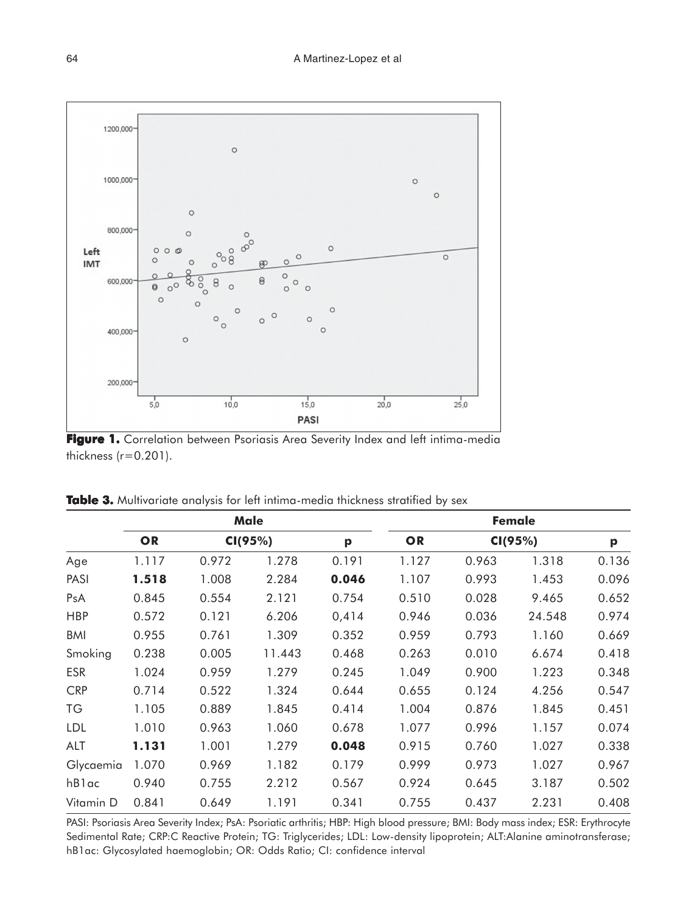

**Figure 1. Figure 1.** Correlation between Psoriasis Area Severity Index and left intima-media thickness  $(r=0.201)$ .

| Male       |             |         |        | Female |       |         |        |       |
|------------|-------------|---------|--------|--------|-------|---------|--------|-------|
| Age        | OR<br>1.117 | CI(95%) |        | p      | OR    | CI(95%) |        | p     |
|            |             | 0.972   | 1.278  | 0.191  | 1.127 | 0.963   | 1.318  | 0.136 |
| PASI       | 1.518       | 1.008   | 2.284  | 0.046  | 1.107 | 0.993   | 1.453  | 0.096 |
| PsA        | 0.845       | 0.554   | 2.121  | 0.754  | 0.510 | 0.028   | 9.465  | 0.652 |
| <b>HBP</b> | 0.572       | 0.121   | 6.206  | 0,414  | 0.946 | 0.036   | 24.548 | 0.974 |
| <b>BMI</b> | 0.955       | 0.761   | 1.309  | 0.352  | 0.959 | 0.793   | 1.160  | 0.669 |
| Smoking    | 0.238       | 0.005   | 11.443 | 0.468  | 0.263 | 0.010   | 6.674  | 0.418 |
| <b>ESR</b> | 1.024       | 0.959   | 1.279  | 0.245  | 1.049 | 0.900   | 1.223  | 0.348 |
| <b>CRP</b> | 0.714       | 0.522   | 1.324  | 0.644  | 0.655 | 0.124   | 4.256  | 0.547 |
| ТG         | 1.105       | 0.889   | 1.845  | 0.414  | 1.004 | 0.876   | 1.845  | 0.451 |
| <b>LDL</b> | 1.010       | 0.963   | 1.060  | 0.678  | 1.077 | 0.996   | 1.157  | 0.074 |
| ALT        | 1.131       | 1.001   | 1.279  | 0.048  | 0.915 | 0.760   | 1.027  | 0.338 |
| Glycaemia  | 1.070       | 0.969   | 1.182  | 0.179  | 0.999 | 0.973   | 1.027  | 0.967 |
| hBlac      | 0.940       | 0.755   | 2.212  | 0.567  | 0.924 | 0.645   | 3.187  | 0.502 |
| Vitamin D  | 0.841       | 0.649   | 1.191  | 0.341  | 0.755 | 0.437   | 2.231  | 0.408 |

**Table 3.** Multivariate analysis for left intima-media thickness stratified by sex

PASI: Psoriasis Area Severity Index; PsA: Psoriatic arthritis; HBP: High blood pressure; BMI: Body mass index; ESR: Erythrocyte Sedimental Rate; CRP:C Reactive Protein; TG: Triglycerides; LDL: Low-density lipoprotein; ALT:Alanine aminotransferase; hB1ac: Glycosylated haemoglobin; OR: Odds Ratio; CI: confidence interval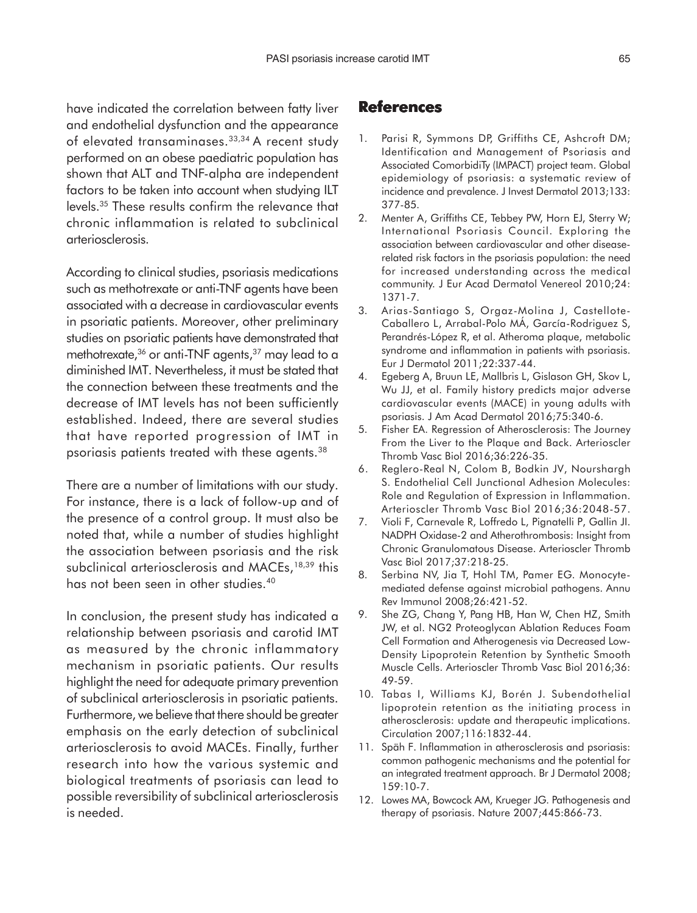have indicated the correlation between fatty liver and endothelial dysfunction and the appearance of elevated transaminases.<sup>33,34</sup> A recent study performed on an obese paediatric population has shown that ALT and TNF-alpha are independent factors to be taken into account when studying ILT levels.35 These results confirm the relevance that chronic inflammation is related to subclinical arteriosclerosis.

According to clinical studies, psoriasis medications such as methotrexate or anti-TNF agents have been associated with a decrease in cardiovascular events in psoriatic patients. Moreover, other preliminary studies on psoriatic patients have demonstrated that methotrexate,<sup>36</sup> or anti-TNF agents,<sup>37</sup> may lead to a diminished IMT. Nevertheless, it must be stated that the connection between these treatments and the decrease of IMT levels has not been sufficiently established. Indeed, there are several studies that have reported progression of IMT in psoriasis patients treated with these agents.<sup>38</sup>

There are a number of limitations with our study. For instance, there is a lack of follow-up and of the presence of a control group. It must also be noted that, while a number of studies highlight the association between psoriasis and the risk subclinical arteriosclerosis and MACEs,<sup>18,39</sup> this has not been seen in other studies.40

In conclusion, the present study has indicated a relationship between psoriasis and carotid IMT as measured by the chronic inflammatory mechanism in psoriatic patients. Our results highlight the need for adequate primary prevention of subclinical arteriosclerosis in psoriatic patients. Furthermore, we believe that there should be greater emphasis on the early detection of subclinical arteriosclerosis to avoid MACEs. Finally, further research into how the various systemic and biological treatments of psoriasis can lead to possible reversibility of subclinical arteriosclerosis is needed.

#### **References**

- 1. Parisi R, Symmons DP, Griffiths CE, Ashcroft DM; Identification and Management of Psoriasis and Associated ComorbidiTy (IMPACT) project team. Global epidemiology of psoriasis: a systematic review of incidence and prevalence. J Invest Dermatol 2013;133: 377-85.
- 2. Menter A, Griffiths CE, Tebbey PW, Horn EJ, Sterry W; International Psoriasis Council. Exploring the association between cardiovascular and other diseaserelated risk factors in the psoriasis population: the need for increased understanding across the medical community. J Eur Acad Dermatol Venereol 2010;24: 1371-7.
- 3. Arias-Santiago S, Orgaz-Molina J, Castellote-Caballero L, Arrabal-Polo MÁ, García-Rodriguez S, Perandrés-López R, et al. Atheroma plaque, metabolic syndrome and inflammation in patients with psoriasis. Eur J Dermatol 2011;22:337-44.
- 4. Egeberg A, Bruun LE, Mallbris L, Gislason GH, Skov L, Wu JJ, et al. Family history predicts major adverse cardiovascular events (MACE) in young adults with psoriasis. J Am Acad Dermatol 2016;75:340-6.
- 5. Fisher EA. Regression of Atherosclerosis: The Journey From the Liver to the Plaque and Back. Arterioscler Thromb Vasc Biol 2016;36:226-35.
- 6. Reglero-Real N, Colom B, Bodkin JV, Nourshargh S. Endothelial Cell Junctional Adhesion Molecules: Role and Regulation of Expression in Inflammation. Arterioscler Thromb Vasc Biol 2016;36:2048-57.
- 7. Violi F, Carnevale R, Loffredo L, Pignatelli P, Gallin JI. NADPH Oxidase-2 and Atherothrombosis: Insight from Chronic Granulomatous Disease. Arterioscler Thromb Vasc Biol 2017;37:218-25.
- 8. Serbina NV, Jia T, Hohl TM, Pamer EG. Monocytemediated defense against microbial pathogens. Annu Rev Immunol 2008;26:421-52.
- 9. She ZG, Chang Y, Pang HB, Han W, Chen HZ, Smith JW, et al. NG2 Proteoglycan Ablation Reduces Foam Cell Formation and Atherogenesis via Decreased Low-Density Lipoprotein Retention by Synthetic Smooth Muscle Cells. Arterioscler Thromb Vasc Biol 2016;36: 49-59.
- 10. Tabas I, Williams KJ, Borén J. Subendothelial lipoprotein retention as the initiating process in atherosclerosis: update and therapeutic implications. Circulation 2007;116:1832-44.
- 11. Späh F. Inflammation in atherosclerosis and psoriasis: common pathogenic mechanisms and the potential for an integrated treatment approach. Br J Dermatol 2008; 159:10-7.
- 12. Lowes MA, Bowcock AM, Krueger JG. Pathogenesis and therapy of psoriasis. Nature 2007;445:866-73.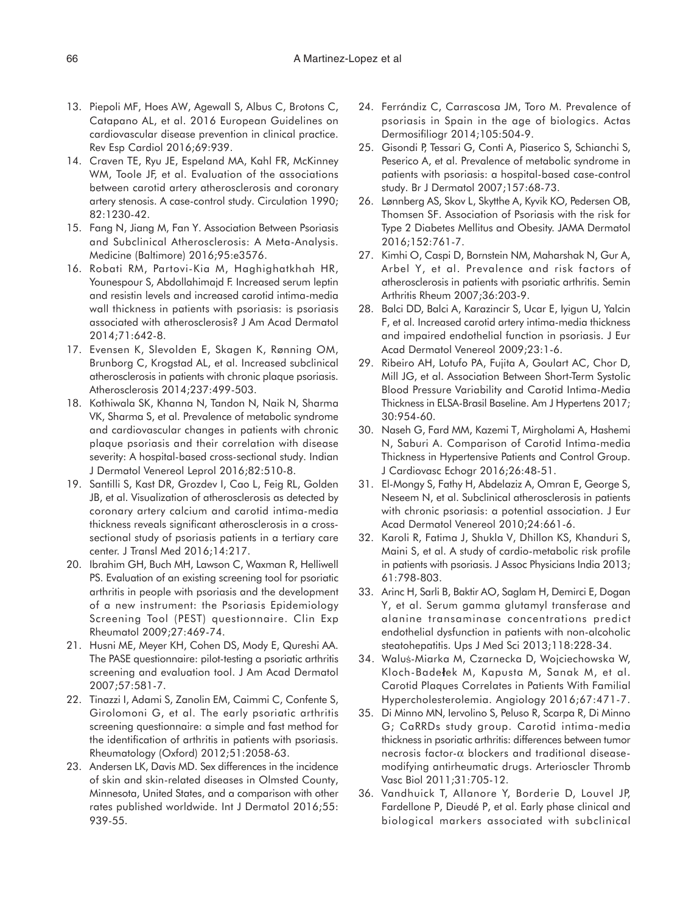- 13. Piepoli MF, Hoes AW, Agewall S, Albus C, Brotons C, Catapano AL, et al. 2016 European Guidelines on cardiovascular disease prevention in clinical practice. Rev Esp Cardiol 2016;69:939.
- 14. Craven TE, Ryu JE, Espeland MA, Kahl FR, McKinney WM, Toole JF, et al. Evaluation of the associations between carotid artery atherosclerosis and coronary artery stenosis. A case-control study. Circulation 1990; 82:1230-42.
- 15. Fang N, Jiang M, Fan Y. Association Between Psoriasis and Subclinical Atherosclerosis: A Meta-Analysis. Medicine (Baltimore) 2016;95:e3576.
- 16. Robati RM, Partovi-Kia M, Haghighatkhah HR, Younespour S, Abdollahimajd F. Increased serum leptin and resistin levels and increased carotid intima-media wall thickness in patients with psoriasis: is psoriasis associated with atherosclerosis? J Am Acad Dermatol 2014;71:642-8.
- 17. Evensen K, Slevolden E, Skagen K, Rønning OM, Brunborg C, Krogstad AL, et al. Increased subclinical atherosclerosis in patients with chronic plaque psoriasis. Atherosclerosis 2014;237:499-503.
- 18. Kothiwala SK, Khanna N, Tandon N, Naik N, Sharma VK, Sharma S, et al. Prevalence of metabolic syndrome and cardiovascular changes in patients with chronic plaque psoriasis and their correlation with disease severity: A hospital-based cross-sectional study. Indian J Dermatol Venereol Leprol 2016;82:510-8.
- 19. Santilli S, Kast DR, Grozdev I, Cao L, Feig RL, Golden JB, et al. Visualization of atherosclerosis as detected by coronary artery calcium and carotid intima-media thickness reveals significant atherosclerosis in a crosssectional study of psoriasis patients in a tertiary care center. J Transl Med 2016;14:217.
- 20. Ibrahim GH, Buch MH, Lawson C, Waxman R, Helliwell PS. Evaluation of an existing screening tool for psoriatic arthritis in people with psoriasis and the development of a new instrument: the Psoriasis Epidemiology Screening Tool (PEST) questionnaire. Clin Exp Rheumatol 2009;27:469-74.
- 21. Husni ME, Meyer KH, Cohen DS, Mody E, Qureshi AA. The PASE questionnaire: pilot-testing a psoriatic arthritis screening and evaluation tool. J Am Acad Dermatol 2007;57:581-7.
- 22. Tinazzi I, Adami S, Zanolin EM, Caimmi C, Confente S, Girolomoni G, et al. The early psoriatic arthritis screening questionnaire: a simple and fast method for the identification of arthritis in patients with psoriasis. Rheumatology (Oxford) 2012;51:2058-63.
- 23. Andersen LK, Davis MD. Sex differences in the incidence of skin and skin-related diseases in Olmsted County, Minnesota, United States, and a comparison with other rates published worldwide. Int J Dermatol 2016;55: 939-55.
- 24. Ferrándiz C, Carrascosa JM, Toro M. Prevalence of psoriasis in Spain in the age of biologics. Actas Dermosifiliogr 2014;105:504-9.
- 25. Gisondi P, Tessari G, Conti A, Piaserico S, Schianchi S, Peserico A, et al. Prevalence of metabolic syndrome in patients with psoriasis: a hospital-based case-control study. Br J Dermatol 2007;157:68-73.
- 26. Lønnberg AS, Skov L, Skytthe A, Kyvik KO, Pedersen OB, Thomsen SF. Association of Psoriasis with the risk for Type 2 Diabetes Mellitus and Obesity. JAMA Dermatol 2016;152:761-7.
- 27. Kimhi O, Caspi D, Bornstein NM, Maharshak N, Gur A, Arbel Y, et al. Prevalence and risk factors of atherosclerosis in patients with psoriatic arthritis. Semin Arthritis Rheum 2007;36:203-9.
- 28. Balci DD, Balci A, Karazincir S, Ucar E, Iyigun U, Yalcin F, et al. Increased carotid artery intima-media thickness and impaired endothelial function in psoriasis. J Eur Acad Dermatol Venereol 2009;23:1-6.
- 29. Ribeiro AH, Lotufo PA, Fujita A, Goulart AC, Chor D, Mill JG, et al. Association Between Short-Term Systolic Blood Pressure Variability and Carotid Intima-Media Thickness in ELSA-Brasil Baseline. Am J Hypertens 2017; 30:954-60.
- 30. Naseh G, Fard MM, Kazemi T, Mirgholami A, Hashemi N, Saburi A. Comparison of Carotid Intima-media Thickness in Hypertensive Patients and Control Group. J Cardiovasc Echogr 2016;26:48-51.
- 31. El-Mongy S, Fathy H, Abdelaziz A, Omran E, George S, Neseem N, et al. Subclinical atherosclerosis in patients with chronic psoriasis: a potential association. J Eur Acad Dermatol Venereol 2010;24:661-6.
- 32. Karoli R, Fatima J, Shukla V, Dhillon KS, Khanduri S, Maini S, et al. A study of cardio-metabolic risk profile in patients with psoriasis. J Assoc Physicians India 2013; 61:798-803.
- 33. Arinc H, Sarli B, Baktir AO, Saglam H, Demirci E, Dogan Y, et al. Serum gamma glutamyl transferase and alanine transaminase concentrations predict endothelial dysfunction in patients with non-alcoholic steatohepatitis. Ups J Med Sci 2013;118:228-34.
- 34. Waluś-Miarka M, Czarnecka D, Wojciechowska W, Kloch-Badełek M, Kapusta M, Sanak M, et al. Carotid Plaques Correlates in Patients With Familial Hypercholesterolemia. Angiology 2016;67:471-7.
- 35. Di Minno MN, Iervolino S, Peluso R, Scarpa R, Di Minno G; CaRRDs study group. Carotid intima-media thickness in psoriatic arthritis: differences between tumor necrosis factor-α blockers and traditional diseasemodifying antirheumatic drugs. Arterioscler Thromb Vasc Biol 2011;31:705-12.
- 36. Vandhuick T, Allanore Y, Borderie D, Louvel JP, Fardellone P, Dieudé P, et al. Early phase clinical and biological markers associated with subclinical